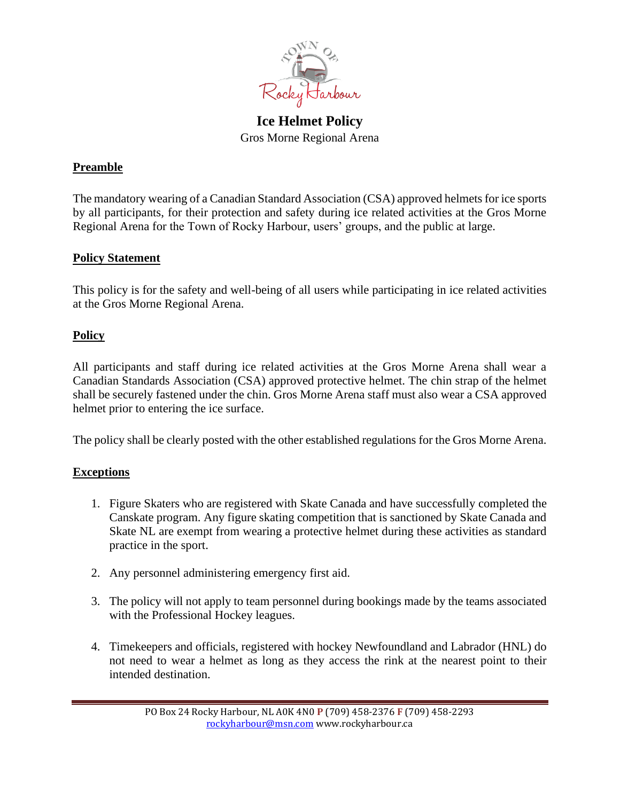

**Ice Helmet Policy** Gros Morne Regional Arena

## **Preamble**

The mandatory wearing of a Canadian Standard Association (CSA) approved helmets for ice sports by all participants, for their protection and safety during ice related activities at the Gros Morne Regional Arena for the Town of Rocky Harbour, users' groups, and the public at large.

## **Policy Statement**

This policy is for the safety and well-being of all users while participating in ice related activities at the Gros Morne Regional Arena.

## **Policy**

All participants and staff during ice related activities at the Gros Morne Arena shall wear a Canadian Standards Association (CSA) approved protective helmet. The chin strap of the helmet shall be securely fastened under the chin. Gros Morne Arena staff must also wear a CSA approved helmet prior to entering the ice surface.

The policy shall be clearly posted with the other established regulations for the Gros Morne Arena.

## **Exceptions**

- 1. Figure Skaters who are registered with Skate Canada and have successfully completed the Canskate program. Any figure skating competition that is sanctioned by Skate Canada and Skate NL are exempt from wearing a protective helmet during these activities as standard practice in the sport.
- 2. Any personnel administering emergency first aid.
- 3. The policy will not apply to team personnel during bookings made by the teams associated with the Professional Hockey leagues.
- 4. Timekeepers and officials, registered with hockey Newfoundland and Labrador (HNL) do not need to wear a helmet as long as they access the rink at the nearest point to their intended destination.